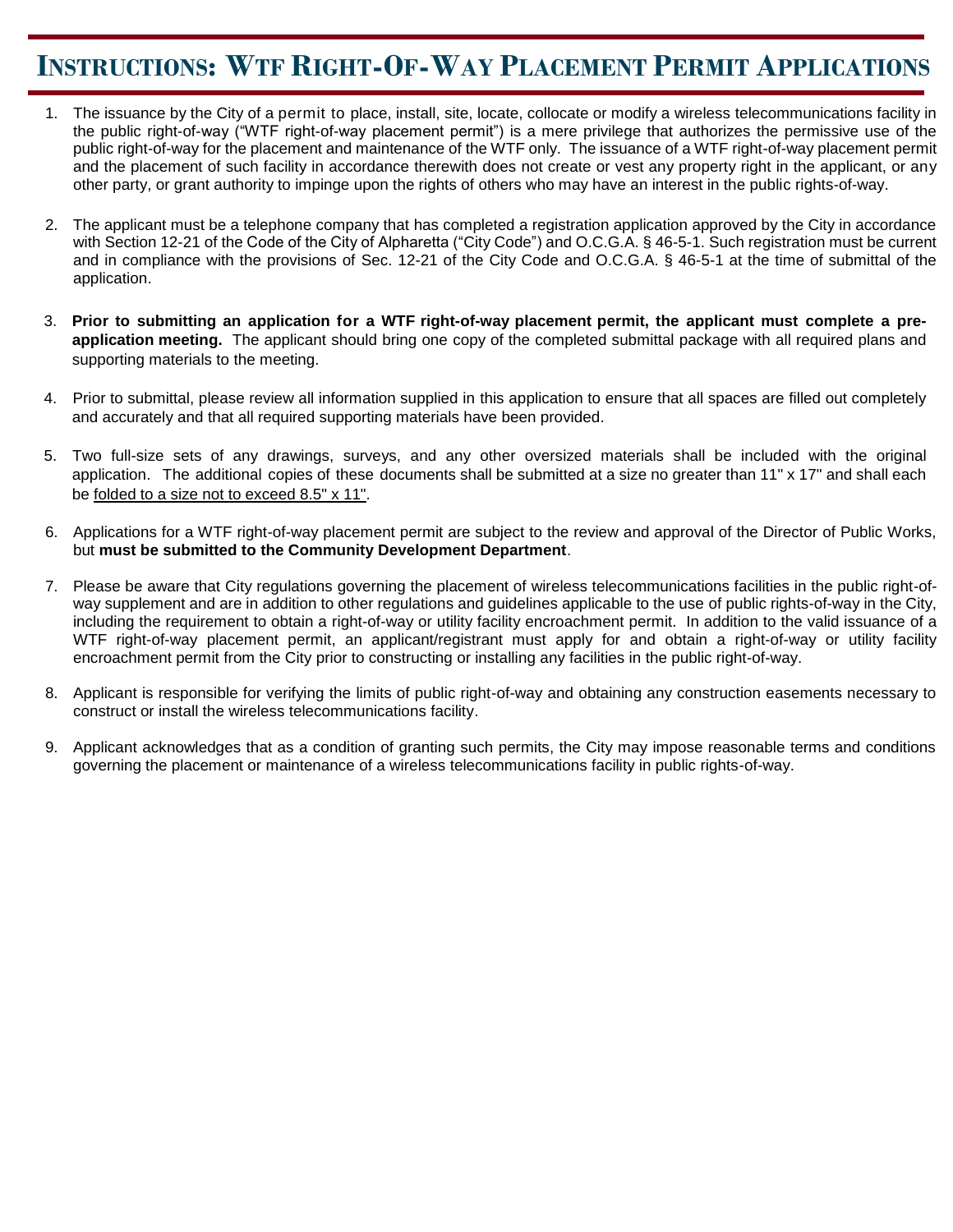### **INSTRUCTIONS: WTF RIGHT-OF-WAY PLACEMENT PERMIT APPLICATIONS**

- 1. The issuance by the City of a permit to place, install, site, locate, collocate or modify a wireless telecommunications facility in the public right-of-way ("WTF right-of-way placement permit") is a mere privilege that authorizes the permissive use of the public right-of-way for the placement and maintenance of the WTF only. The issuance of a WTF right-of-way placement permit and the placement of such facility in accordance therewith does not create or vest any property right in the applicant, or any other party, or grant authority to impinge upon the rights of others who may have an interest in the public rights-of-way.
- 2. The applicant must be a telephone company that has completed a registration application approved by the City in accordance with Section 12-21 of the Code of the City of Alpharetta ("City Code") and O.C.G.A. § 46-5-1. Such registration must be current and in compliance with the provisions of Sec. 12-21 of the City Code and O.C.G.A. § 46-5-1 at the time of submittal of the application.
- 3. **Prior to submitting an application for a WTF right-of-way placement permit, the applicant must complete a preapplication meeting.** The applicant should bring one copy of the completed submittal package with all required plans and supporting materials to the meeting.
- 4. Prior to submittal, please review all information supplied in this application to ensure that all spaces are filled out completely and accurately and that all required supporting materials have been provided.
- 5. Two full-size sets of any drawings, surveys, and any other oversized materials shall be included with the original application. The additional copies of these documents shall be submitted at a size no greater than 11" x 17" and shall each be folded to a size not to exceed 8.5" x 11".
- 6. Applications for a WTF right-of-way placement permit are subject to the review and approval of the Director of Public Works, but **must be submitted to the Community Development Department**.
- 7. Please be aware that City regulations governing the placement of wireless telecommunications facilities in the public right-ofway supplement and are in addition to other regulations and guidelines applicable to the use of public rights-of-way in the City, including the requirement to obtain a right-of-way or utility facility encroachment permit. In addition to the valid issuance of a WTF right-of-way placement permit, an applicant/registrant must apply for and obtain a right-of-way or utility facility encroachment permit from the City prior to constructing or installing any facilities in the public right-of-way.
- 8. Applicant is responsible for verifying the limits of public right-of-way and obtaining any construction easements necessary to construct or install the wireless telecommunications facility.
- 9. Applicant acknowledges that as a condition of granting such permits, the City may impose reasonable terms and conditions governing the placement or maintenance of a wireless telecommunications facility in public rights-of-way.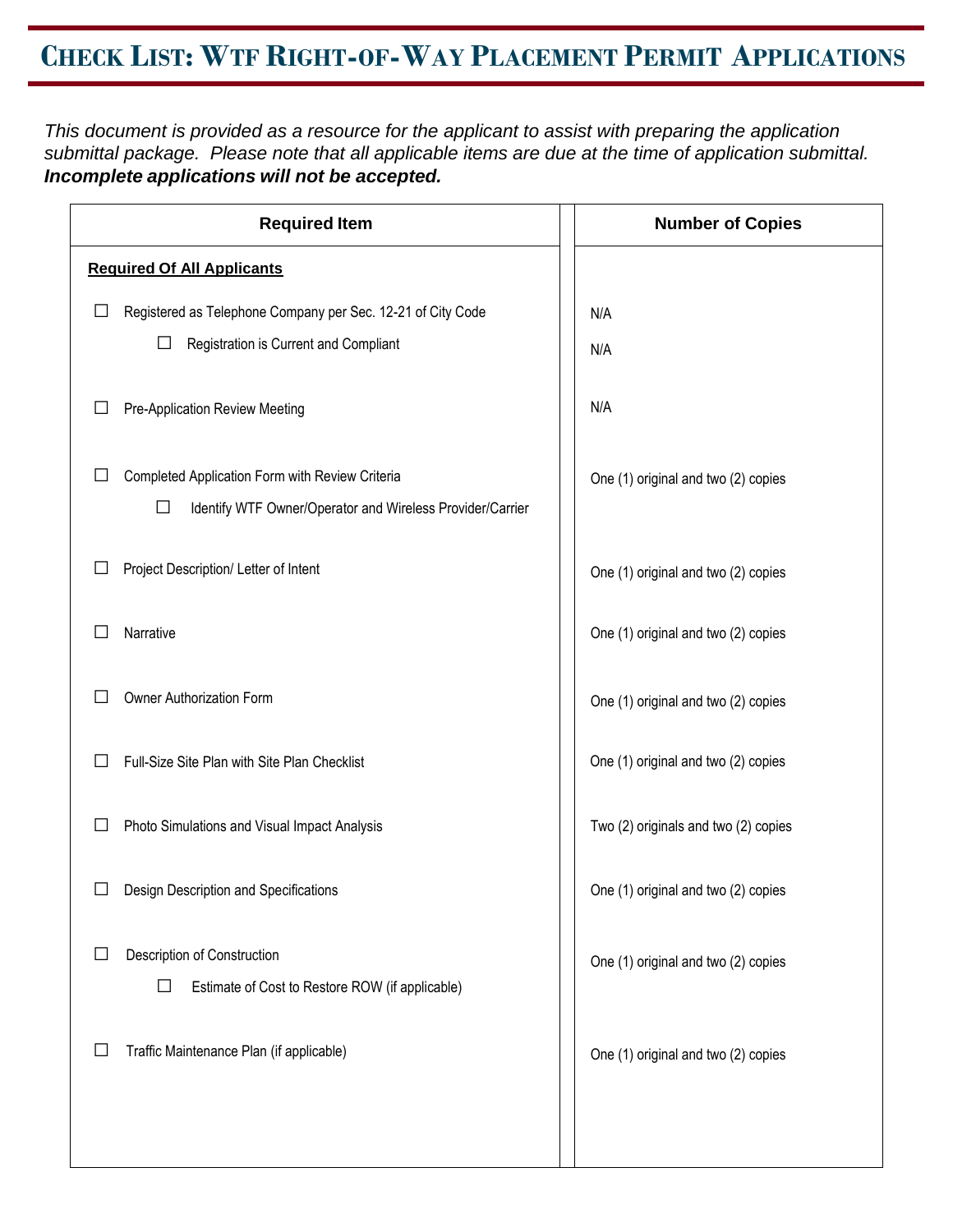## **CHECK LIST: WTF RIGHT-OF-WAY PLACEMENT PERMIT APPLICATIONS**

*This document is provided as a resource for the applicant to assist with preparing the application submittal package. Please note that all applicable items are due at the time of application submittal. Incomplete applications will not be accepted.*

| <b>Required Item</b>                                           | <b>Number of Copies</b>              |
|----------------------------------------------------------------|--------------------------------------|
| <b>Required Of All Applicants</b>                              |                                      |
| Registered as Telephone Company per Sec. 12-21 of City Code    | N/A                                  |
| $\Box$<br>Registration is Current and Compliant                | N/A                                  |
| Pre-Application Review Meeting                                 | N/A                                  |
| Completed Application Form with Review Criteria                | One (1) original and two (2) copies  |
| □<br>Identify WTF Owner/Operator and Wireless Provider/Carrier |                                      |
| Project Description/ Letter of Intent                          | One (1) original and two (2) copies  |
| Narrative                                                      | One (1) original and two (2) copies  |
| Owner Authorization Form                                       | One (1) original and two (2) copies  |
| Full-Size Site Plan with Site Plan Checklist                   | One (1) original and two (2) copies  |
| Photo Simulations and Visual Impact Analysis                   | Two (2) originals and two (2) copies |
| Design Description and Specifications                          | One (1) original and two (2) copies  |
| Description of Construction                                    | One (1) original and two (2) copies  |
| $\Box$<br>Estimate of Cost to Restore ROW (if applicable)      |                                      |
| Traffic Maintenance Plan (if applicable)                       | One (1) original and two (2) copies  |
|                                                                |                                      |
|                                                                |                                      |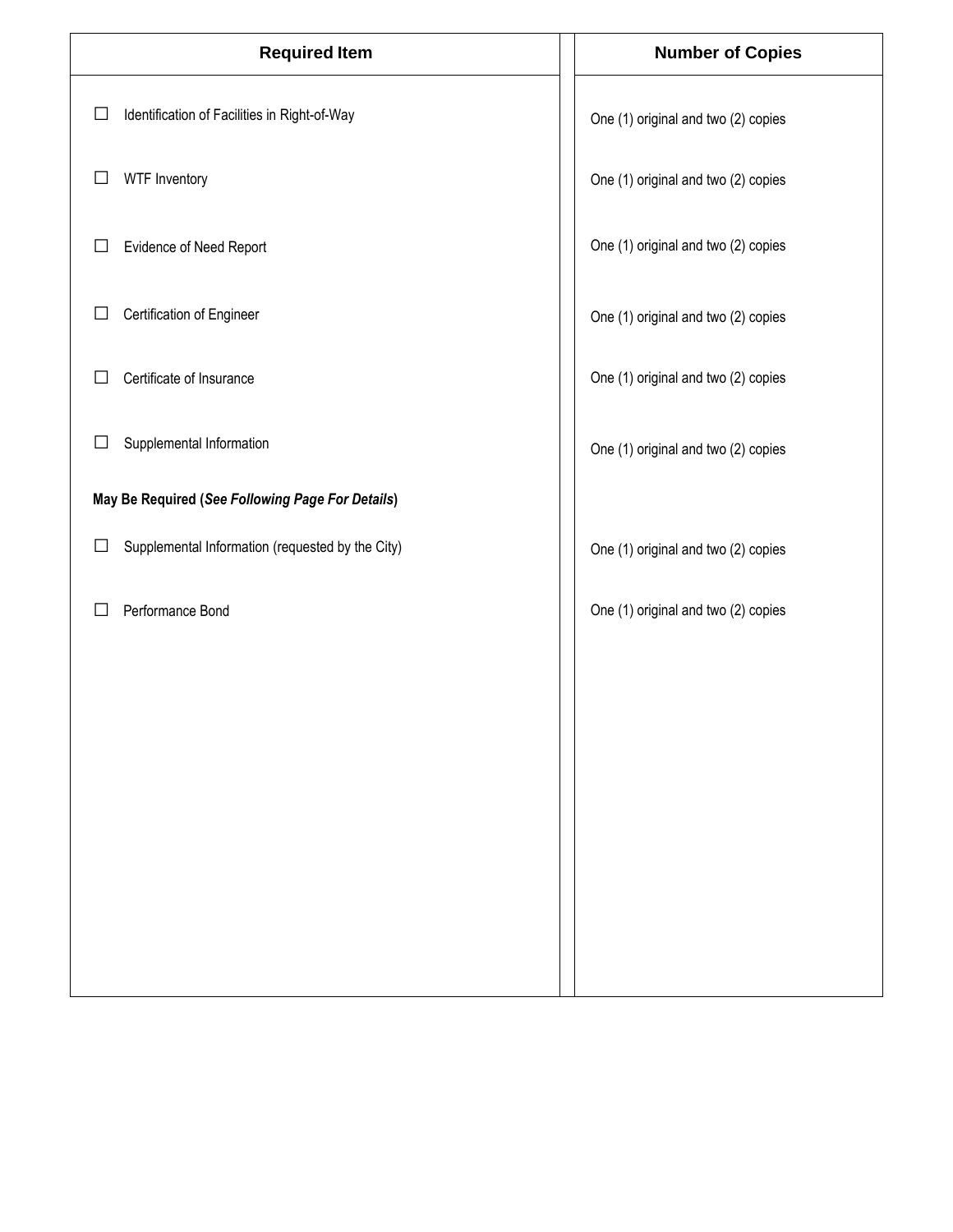| <b>Required Item</b>                                       | <b>Number of Copies</b>             |
|------------------------------------------------------------|-------------------------------------|
| Identification of Facilities in Right-of-Way<br>$\Box$     | One (1) original and two (2) copies |
| WTF Inventory<br>⊔                                         | One (1) original and two (2) copies |
| Evidence of Need Report<br>$\Box$                          | One (1) original and two (2) copies |
| Certification of Engineer<br>ப                             | One (1) original and two (2) copies |
| Certificate of Insurance                                   | One (1) original and two (2) copies |
| Supplemental Information<br>⊔                              | One (1) original and two (2) copies |
| May Be Required (See Following Page For Details)           |                                     |
| Supplemental Information (requested by the City)<br>$\Box$ | One (1) original and two (2) copies |
| Performance Bond                                           | One (1) original and two (2) copies |
|                                                            |                                     |
|                                                            |                                     |
|                                                            |                                     |
|                                                            |                                     |
|                                                            |                                     |
|                                                            |                                     |
|                                                            |                                     |
|                                                            |                                     |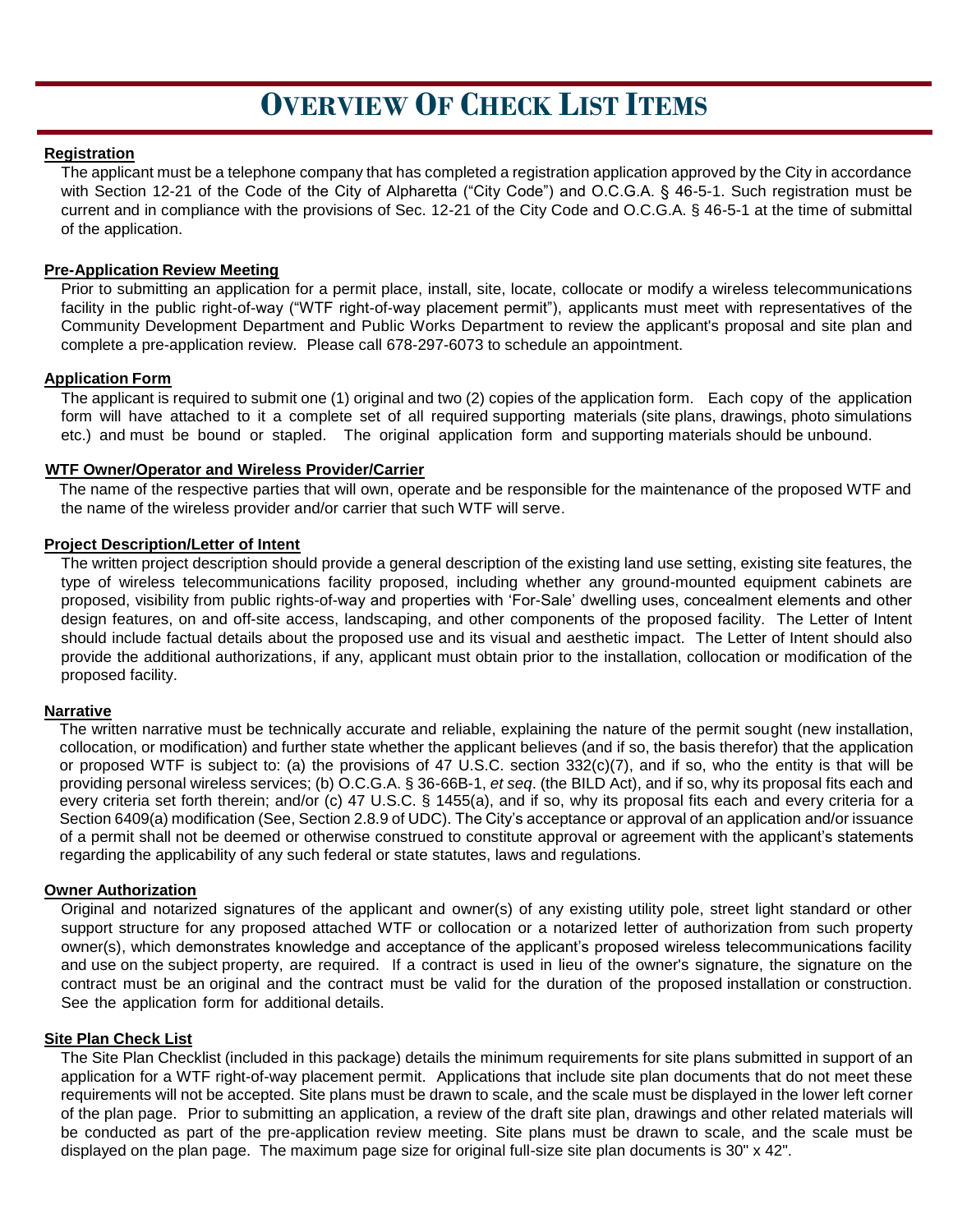### **OVERVIEW OF CHECK LIST ITEMS**

#### **Registration**

The applicant must be a telephone company that has completed a registration application approved by the City in accordance with Section 12-21 of the Code of the City of Alpharetta ("City Code") and O.C.G.A. § 46-5-1. Such registration must be current and in compliance with the provisions of Sec. 12-21 of the City Code and O.C.G.A. § 46-5-1 at the time of submittal of the application.

#### **Pre-Application Review Meeting**

Prior to submitting an application for a permit place, install, site, locate, collocate or modify a wireless telecommunications facility in the public right-of-way ("WTF right-of-way placement permit"), applicants must meet with representatives of the Community Development Department and Public Works Department to review the applicant's proposal and site plan and complete a pre-application review. Please call 678-297-6073 to schedule an appointment.

#### **Application Form**

The applicant is required to submit one (1) original and two (2) copies of the application form. Each copy of the application form will have attached to it a complete set of all required supporting materials (site plans, drawings, photo simulations etc.) and must be bound or stapled. The original application form and supporting materials should be unbound.

#### **WTF Owner/Operator and Wireless Provider/Carrier**

The name of the respective parties that will own, operate and be responsible for the maintenance of the proposed WTF and the name of the wireless provider and/or carrier that such WTF will serve.

#### **Project Description/Letter of Intent**

The written project description should provide a general description of the existing land use setting, existing site features, the type of wireless telecommunications facility proposed, including whether any ground-mounted equipment cabinets are proposed, visibility from public rights-of-way and properties with 'For-Sale' dwelling uses, concealment elements and other design features, on and off-site access, landscaping, and other components of the proposed facility. The Letter of Intent should include factual details about the proposed use and its visual and aesthetic impact. The Letter of Intent should also provide the additional authorizations, if any, applicant must obtain prior to the installation, collocation or modification of the proposed facility.

#### **Narrative**

The written narrative must be technically accurate and reliable, explaining the nature of the permit sought (new installation, collocation, or modification) and further state whether the applicant believes (and if so, the basis therefor) that the application or proposed WTF is subject to: (a) the provisions of 47 U.S.C. section  $332(c)(7)$ , and if so, who the entity is that will be providing personal wireless services; (b) O.C.G.A. § 36-66B-1, *et seq*. (the BILD Act), and if so, why its proposal fits each and every criteria set forth therein; and/or (c) 47 U.S.C. § 1455(a), and if so, why its proposal fits each and every criteria for a Section 6409(a) modification (See, Section 2.8.9 of UDC). The City's acceptance or approval of an application and/or issuance of a permit shall not be deemed or otherwise construed to constitute approval or agreement with the applicant's statements regarding the applicability of any such federal or state statutes, laws and regulations.

#### **Owner Authorization**

Original and notarized signatures of the applicant and owner(s) of any existing utility pole, street light standard or other support structure for any proposed attached WTF or collocation or a notarized letter of authorization from such property owner(s), which demonstrates knowledge and acceptance of the applicant's proposed wireless telecommunications facility and use on the subject property, are required. If a contract is used in lieu of the owner's signature, the signature on the contract must be an original and the contract must be valid for the duration of the proposed installation or construction. See the application form for additional details.

#### **Site Plan Check List**

The Site Plan Checklist (included in this package) details the minimum requirements for site plans submitted in support of an application for a WTF right-of-way placement permit. Applications that include site plan documents that do not meet these requirements will not be accepted. Site plans must be drawn to scale, and the scale must be displayed in the lower left corner of the plan page. Prior to submitting an application, a review of the draft site plan, drawings and other related materials will be conducted as part of the pre-application review meeting. Site plans must be drawn to scale, and the scale must be displayed on the plan page. The maximum page size for original full-size site plan documents is 30" x 42".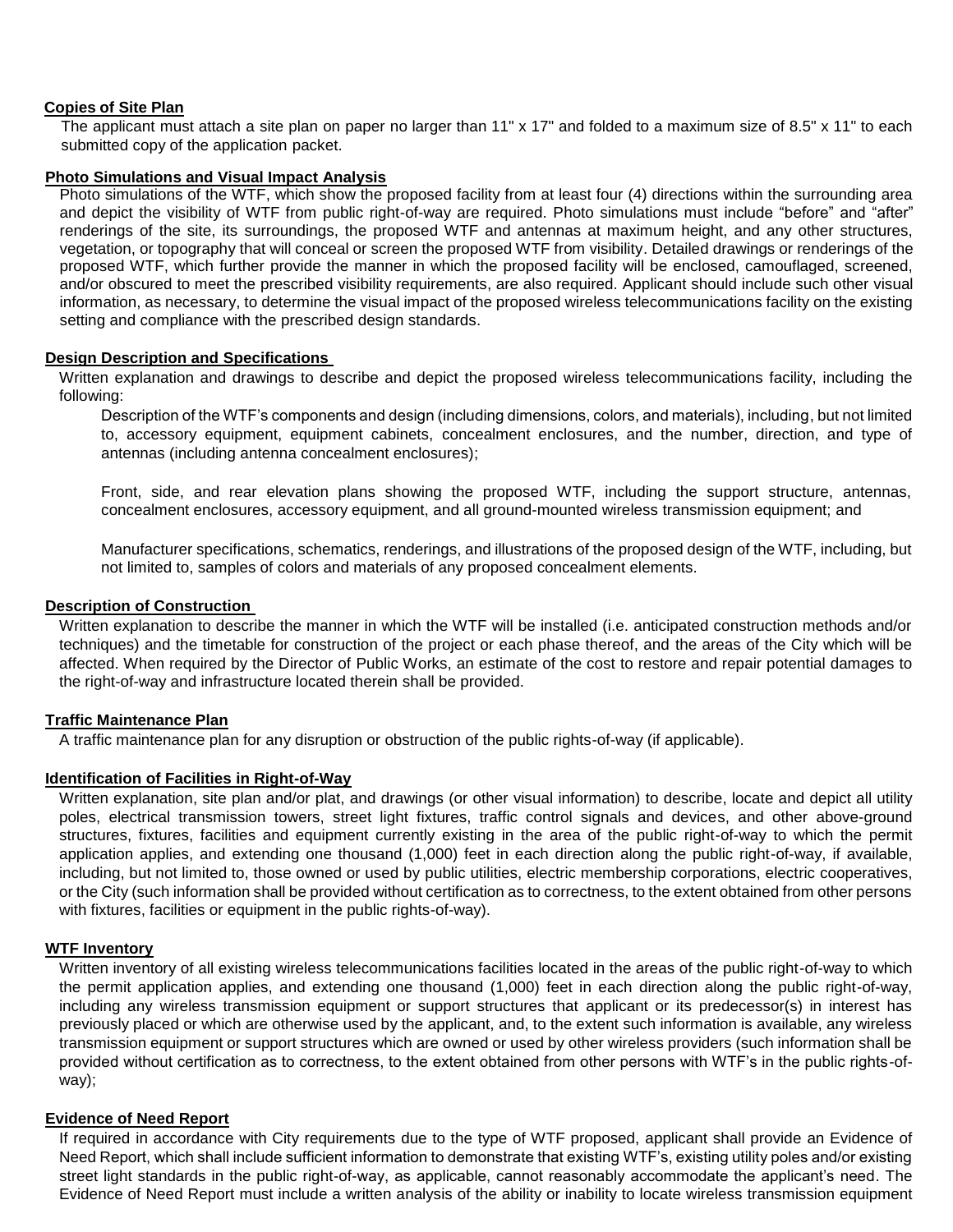#### **Copies of Site Plan**

The applicant must attach a site plan on paper no larger than 11" x 17" and folded to a maximum size of 8.5" x 11" to each submitted copy of the application packet.

#### **Photo Simulations and Visual Impact Analysis**

Photo simulations of the WTF, which show the proposed facility from at least four (4) directions within the surrounding area and depict the visibility of WTF from public right-of-way are required. Photo simulations must include "before" and "after" renderings of the site, its surroundings, the proposed WTF and antennas at maximum height, and any other structures, vegetation, or topography that will conceal or screen the proposed WTF from visibility. Detailed drawings or renderings of the proposed WTF, which further provide the manner in which the proposed facility will be enclosed, camouflaged, screened, and/or obscured to meet the prescribed visibility requirements, are also required. Applicant should include such other visual information, as necessary, to determine the visual impact of the proposed wireless telecommunications facility on the existing setting and compliance with the prescribed design standards.

#### **Design Description and Specifications**

Written explanation and drawings to describe and depict the proposed wireless telecommunications facility, including the following:

Description of the WTF's components and design (including dimensions, colors, and materials), including, but not limited to, accessory equipment, equipment cabinets, concealment enclosures, and the number, direction, and type of antennas (including antenna concealment enclosures);

Front, side, and rear elevation plans showing the proposed WTF, including the support structure, antennas, concealment enclosures, accessory equipment, and all ground-mounted wireless transmission equipment; and

Manufacturer specifications, schematics, renderings, and illustrations of the proposed design of the WTF, including, but not limited to, samples of colors and materials of any proposed concealment elements.

#### **Description of Construction**

Written explanation to describe the manner in which the WTF will be installed (i.e. anticipated construction methods and/or techniques) and the timetable for construction of the project or each phase thereof, and the areas of the City which will be affected. When required by the Director of Public Works, an estimate of the cost to restore and repair potential damages to the right-of-way and infrastructure located therein shall be provided.

#### **Traffic Maintenance Plan**

A traffic maintenance plan for any disruption or obstruction of the public rights-of-way (if applicable).

#### **Identification of Facilities in Right-of-Way**

Written explanation, site plan and/or plat, and drawings (or other visual information) to describe, locate and depict all utility poles, electrical transmission towers, street light fixtures, traffic control signals and devices, and other above-ground structures, fixtures, facilities and equipment currently existing in the area of the public right-of-way to which the permit application applies, and extending one thousand (1,000) feet in each direction along the public right-of-way, if available, including, but not limited to, those owned or used by public utilities, electric membership corporations, electric cooperatives, or the City (such information shall be provided without certification as to correctness, to the extent obtained from other persons with fixtures, facilities or equipment in the public rights-of-way).

#### **WTF Inventory**

Written inventory of all existing wireless telecommunications facilities located in the areas of the public right-of-way to which the permit application applies, and extending one thousand (1,000) feet in each direction along the public right-of-way, including any wireless transmission equipment or support structures that applicant or its predecessor(s) in interest has previously placed or which are otherwise used by the applicant, and, to the extent such information is available, any wireless transmission equipment or support structures which are owned or used by other wireless providers (such information shall be provided without certification as to correctness, to the extent obtained from other persons with WTF's in the public rights-ofway);

#### **Evidence of Need Report**

If required in accordance with City requirements due to the type of WTF proposed, applicant shall provide an Evidence of Need Report, which shall include sufficient information to demonstrate that existing WTF's, existing utility poles and/or existing street light standards in the public right-of-way, as applicable, cannot reasonably accommodate the applicant's need. The Evidence of Need Report must include a written analysis of the ability or inability to locate wireless transmission equipment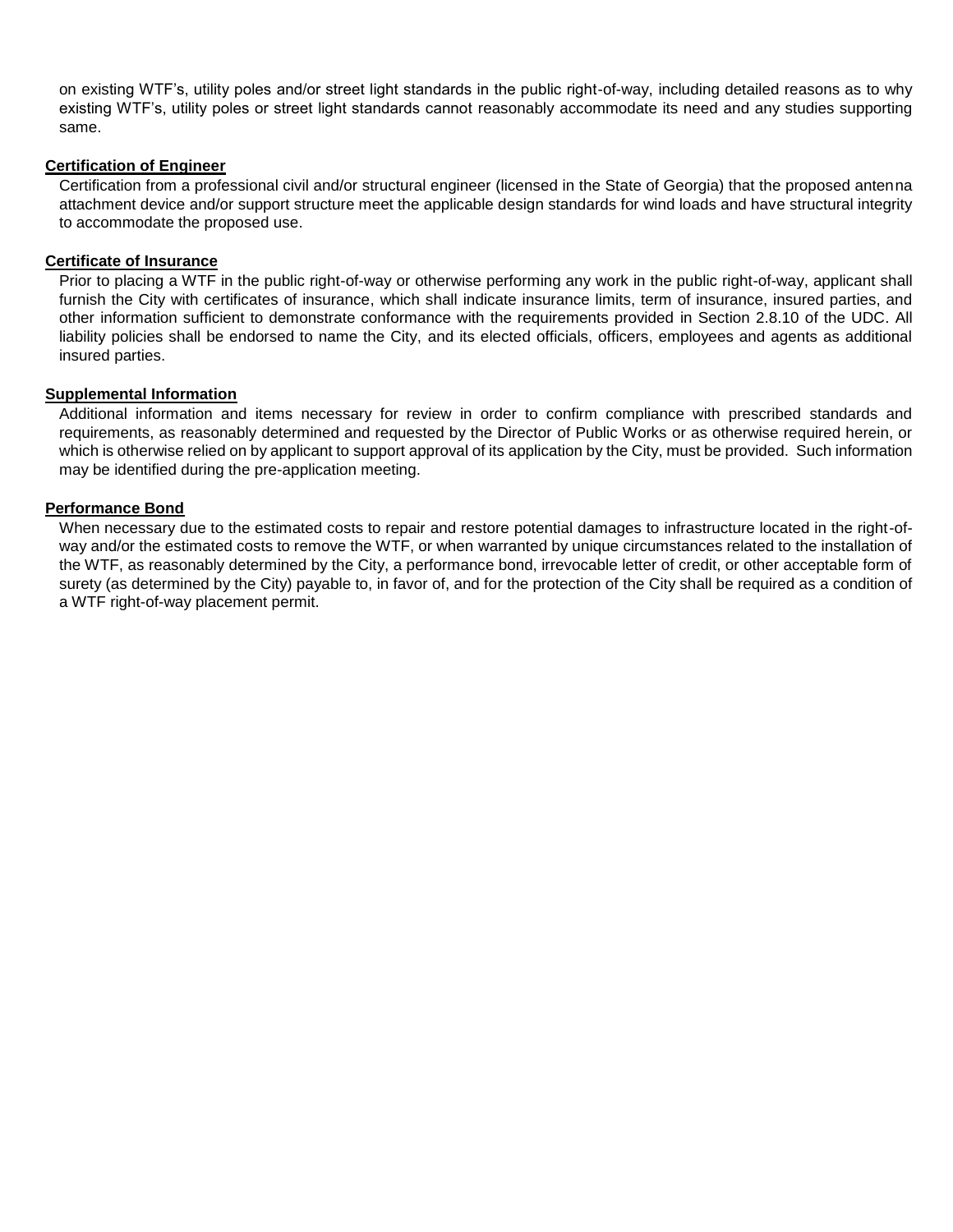on existing WTF's, utility poles and/or street light standards in the public right-of-way, including detailed reasons as to why existing WTF's, utility poles or street light standards cannot reasonably accommodate its need and any studies supporting same.

#### **Certification of Engineer**

Certification from a professional civil and/or structural engineer (licensed in the State of Georgia) that the proposed antenna attachment device and/or support structure meet the applicable design standards for wind loads and have structural integrity to accommodate the proposed use.

#### **Certificate of Insurance**

Prior to placing a WTF in the public right-of-way or otherwise performing any work in the public right-of-way, applicant shall furnish the City with certificates of insurance, which shall indicate insurance limits, term of insurance, insured parties, and other information sufficient to demonstrate conformance with the requirements provided in Section 2.8.10 of the UDC. All liability policies shall be endorsed to name the City, and its elected officials, officers, employees and agents as additional insured parties.

#### **Supplemental Information**

Additional information and items necessary for review in order to confirm compliance with prescribed standards and requirements, as reasonably determined and requested by the Director of Public Works or as otherwise required herein, or which is otherwise relied on by applicant to support approval of its application by the City, must be provided. Such information may be identified during the pre-application meeting.

#### **Performance Bond**

When necessary due to the estimated costs to repair and restore potential damages to infrastructure located in the right-ofway and/or the estimated costs to remove the WTF, or when warranted by unique circumstances related to the installation of the WTF, as reasonably determined by the City, a performance bond, irrevocable letter of credit, or other acceptable form of surety (as determined by the City) payable to, in favor of, and for the protection of the City shall be required as a condition of a WTF right-of-way placement permit.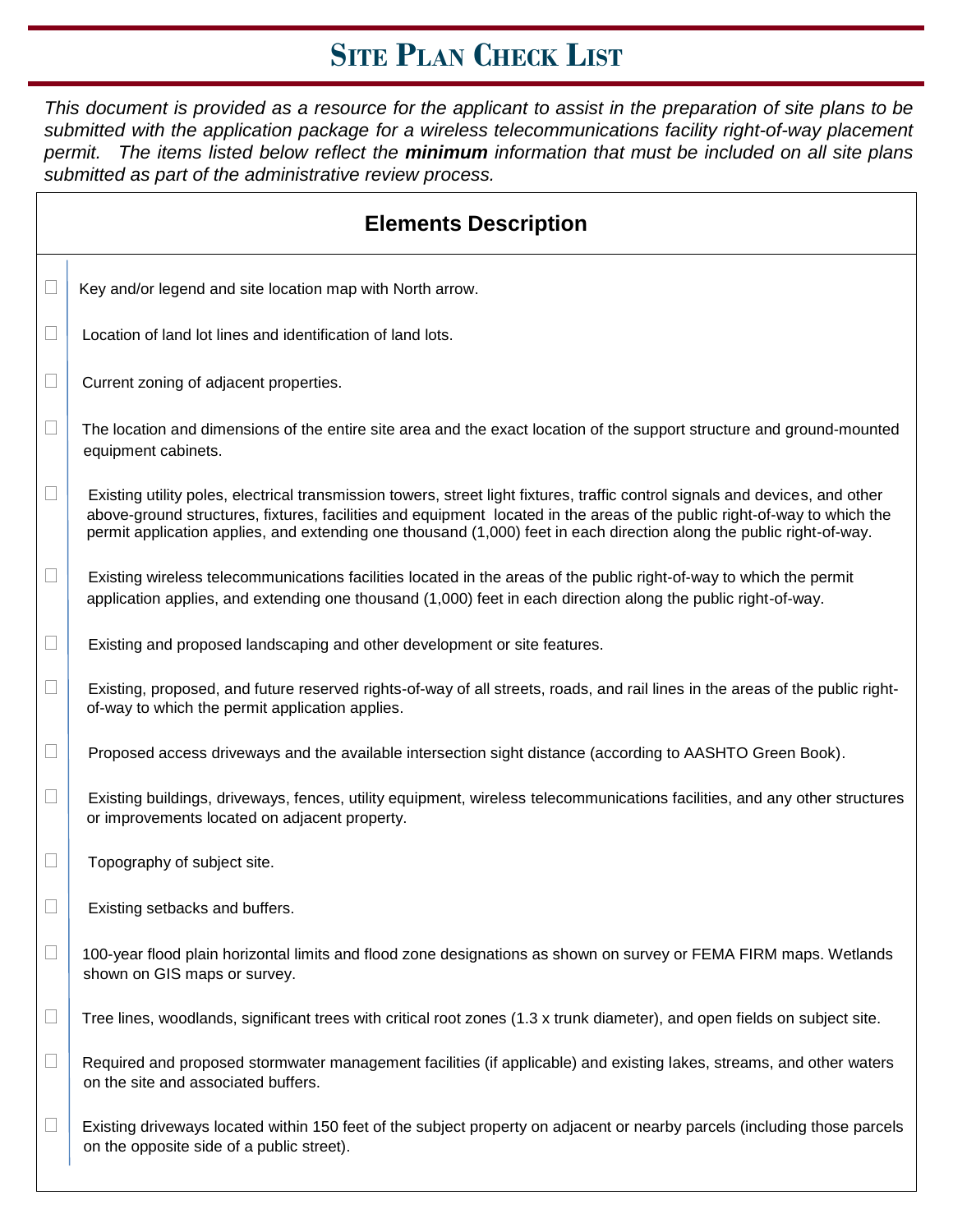# **SITE PLAN CHECK LIST**

This document is provided as a resource for the applicant to assist in the preparation of site plans to be *submitted with the application package for a wireless telecommunications facility right-of-way placement permit. The items listed below reflect the minimum information that must be included on all site plans submitted as part of the administrative review process.*

|        | <b>Elements Description</b>                                                                                                                                                                                                                                                                                                                                                       |  |  |  |
|--------|-----------------------------------------------------------------------------------------------------------------------------------------------------------------------------------------------------------------------------------------------------------------------------------------------------------------------------------------------------------------------------------|--|--|--|
| $\Box$ | Key and/or legend and site location map with North arrow.                                                                                                                                                                                                                                                                                                                         |  |  |  |
| $\Box$ | Location of land lot lines and identification of land lots.                                                                                                                                                                                                                                                                                                                       |  |  |  |
| $\Box$ | Current zoning of adjacent properties.                                                                                                                                                                                                                                                                                                                                            |  |  |  |
| $\Box$ | The location and dimensions of the entire site area and the exact location of the support structure and ground-mounted<br>equipment cabinets.                                                                                                                                                                                                                                     |  |  |  |
| $\Box$ | Existing utility poles, electrical transmission towers, street light fixtures, traffic control signals and devices, and other<br>above-ground structures, fixtures, facilities and equipment located in the areas of the public right-of-way to which the<br>permit application applies, and extending one thousand (1,000) feet in each direction along the public right-of-way. |  |  |  |
| $\Box$ | Existing wireless telecommunications facilities located in the areas of the public right-of-way to which the permit<br>application applies, and extending one thousand (1,000) feet in each direction along the public right-of-way.                                                                                                                                              |  |  |  |
| $\Box$ | Existing and proposed landscaping and other development or site features.                                                                                                                                                                                                                                                                                                         |  |  |  |
| $\Box$ | Existing, proposed, and future reserved rights-of-way of all streets, roads, and rail lines in the areas of the public right-<br>of-way to which the permit application applies.                                                                                                                                                                                                  |  |  |  |
| $\Box$ | Proposed access driveways and the available intersection sight distance (according to AASHTO Green Book).                                                                                                                                                                                                                                                                         |  |  |  |
| $\Box$ | Existing buildings, driveways, fences, utility equipment, wireless telecommunications facilities, and any other structures<br>or improvements located on adjacent property.                                                                                                                                                                                                       |  |  |  |
| $\Box$ | Topography of subject site.                                                                                                                                                                                                                                                                                                                                                       |  |  |  |
| $\Box$ | Existing setbacks and buffers.                                                                                                                                                                                                                                                                                                                                                    |  |  |  |
|        | 100-year flood plain horizontal limits and flood zone designations as shown on survey or FEMA FIRM maps. Wetlands<br>shown on GIS maps or survey.                                                                                                                                                                                                                                 |  |  |  |
| $\Box$ | Tree lines, woodlands, significant trees with critical root zones (1.3 x trunk diameter), and open fields on subject site.                                                                                                                                                                                                                                                        |  |  |  |
| $\Box$ | Required and proposed stormwater management facilities (if applicable) and existing lakes, streams, and other waters<br>on the site and associated buffers.                                                                                                                                                                                                                       |  |  |  |
| $\Box$ | Existing driveways located within 150 feet of the subject property on adjacent or nearby parcels (including those parcels<br>on the opposite side of a public street).                                                                                                                                                                                                            |  |  |  |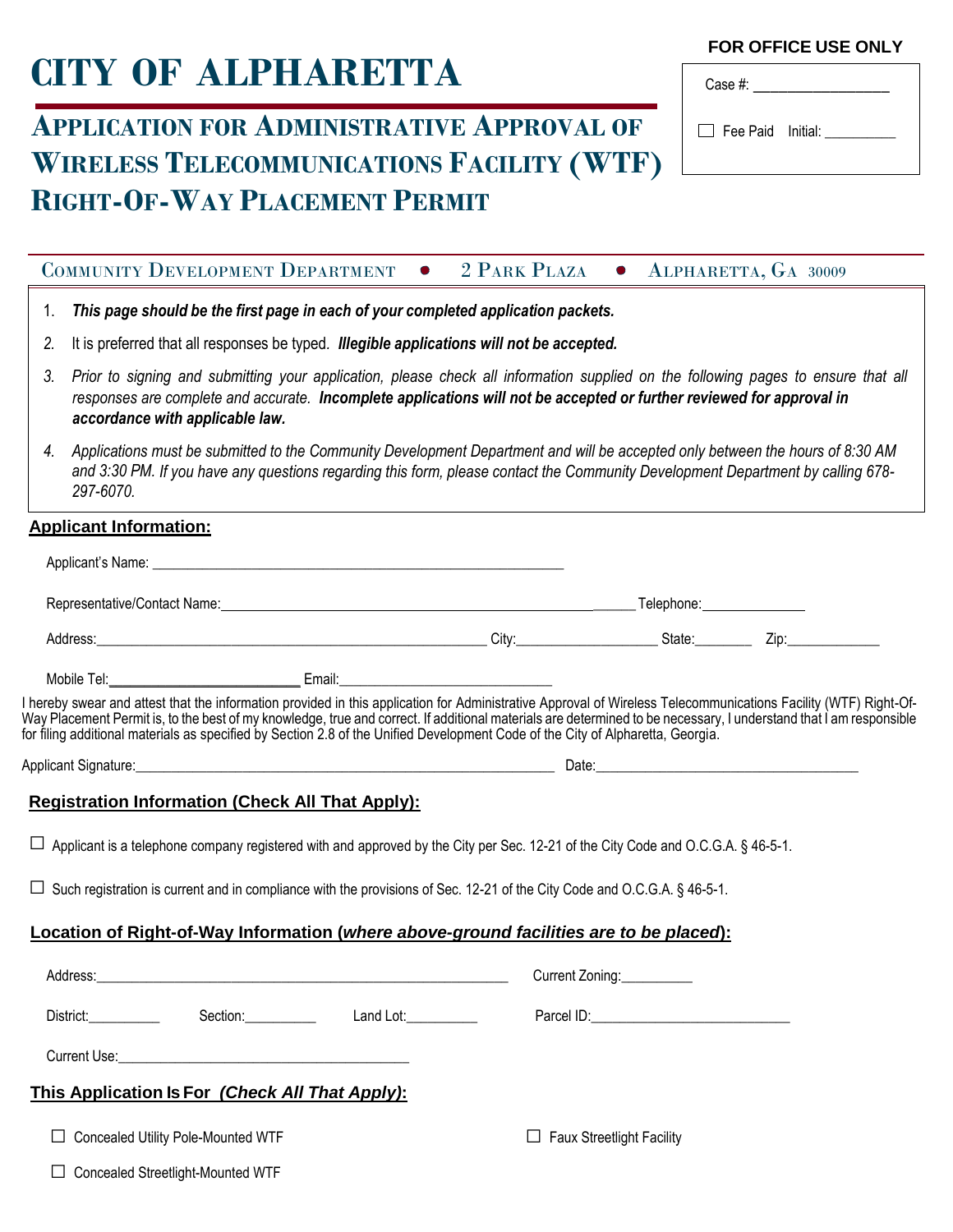# **CITY OF ALPHARETTA**

## **APPLICATION FOR ADMINISTRATIVE APPROVAL OF WIRELESS TELECOMMUNICATIONS FACILITY (WTF) RIGHT-OF-WAY PLACEMENT PERMIT**

#### **FOR OFFICE USE ONLY**

| Case #:                  |  |
|--------------------------|--|
| $\Box$ Fee Paid Initial: |  |
|                          |  |

#### COMMUNITY DEVELOPMENT DEPARTMENT • 2 PARK PLAZA • ALPHARETTA, GA 30009

- 1. *This page should be the first page in each of your completed application packets.*
- *2.* It is preferred that all responses be typed*. Illegible applications will not be accepted.*
- 3. Prior to signing and submitting your application, please check all information supplied on the following pages to ensure that all *responses are complete and accurate. Incomplete applications will not be accepted or further reviewed for approval in accordance with applicable law.*
- *4. Applications must be submitted to the Community Development Department and will be accepted only between the hours of 8:30 AM and 3:30 PM. If you have any questions regarding this form, please contact the Community Development Department by calling 678- 297-6070.*

#### **Applicant Information:**

| Address: Zip: Zip: Zip: 21-12-2012 City: City: City: 21-2012 State: Zip: 21-2012 21-2012 21-2012 21-2012 21-20                                                                                                                                                                                                                                                                                                                                                           |  |  |                                  |  |
|--------------------------------------------------------------------------------------------------------------------------------------------------------------------------------------------------------------------------------------------------------------------------------------------------------------------------------------------------------------------------------------------------------------------------------------------------------------------------|--|--|----------------------------------|--|
|                                                                                                                                                                                                                                                                                                                                                                                                                                                                          |  |  |                                  |  |
| I hereby swear and attest that the information provided in this application for Administrative Approval of Wireless Telecommunications Facility (WTF) Right-Of-<br>Way Placement Permit is, to the best of my knowledge, true and correct. If additional materials are determined to be necessary, I understand that I am responsible<br>for filing additional materials as specified by Section 2.8 of the Unified Development Code of the City of Alpharetta, Georgia. |  |  |                                  |  |
|                                                                                                                                                                                                                                                                                                                                                                                                                                                                          |  |  |                                  |  |
| <b>Registration Information (Check All That Apply):</b>                                                                                                                                                                                                                                                                                                                                                                                                                  |  |  |                                  |  |
| $\Box$ Applicant is a telephone company registered with and approved by the City per Sec. 12-21 of the City Code and O.C.G.A. § 46-5-1.                                                                                                                                                                                                                                                                                                                                  |  |  |                                  |  |
| □ Such registration is current and in compliance with the provisions of Sec. 12-21 of the City Code and O.C.G.A. § 46-5-1.                                                                                                                                                                                                                                                                                                                                               |  |  |                                  |  |
| Location of Right-of-Way Information (where above-ground facilities are to be placed):                                                                                                                                                                                                                                                                                                                                                                                   |  |  |                                  |  |
|                                                                                                                                                                                                                                                                                                                                                                                                                                                                          |  |  | Current Zoning:                  |  |
| District: Section: Land Lot: Land Lot:                                                                                                                                                                                                                                                                                                                                                                                                                                   |  |  |                                  |  |
| <b>Current Use: Current Use: Current Use: Current Use:</b>                                                                                                                                                                                                                                                                                                                                                                                                               |  |  |                                  |  |
| This Application Is For (Check All That Apply):                                                                                                                                                                                                                                                                                                                                                                                                                          |  |  |                                  |  |
| <b>Concealed Utility Pole-Mounted WTF</b>                                                                                                                                                                                                                                                                                                                                                                                                                                |  |  | <b>Faux Streetlight Facility</b> |  |
| □ Concealed Streetlight-Mounted WTF                                                                                                                                                                                                                                                                                                                                                                                                                                      |  |  |                                  |  |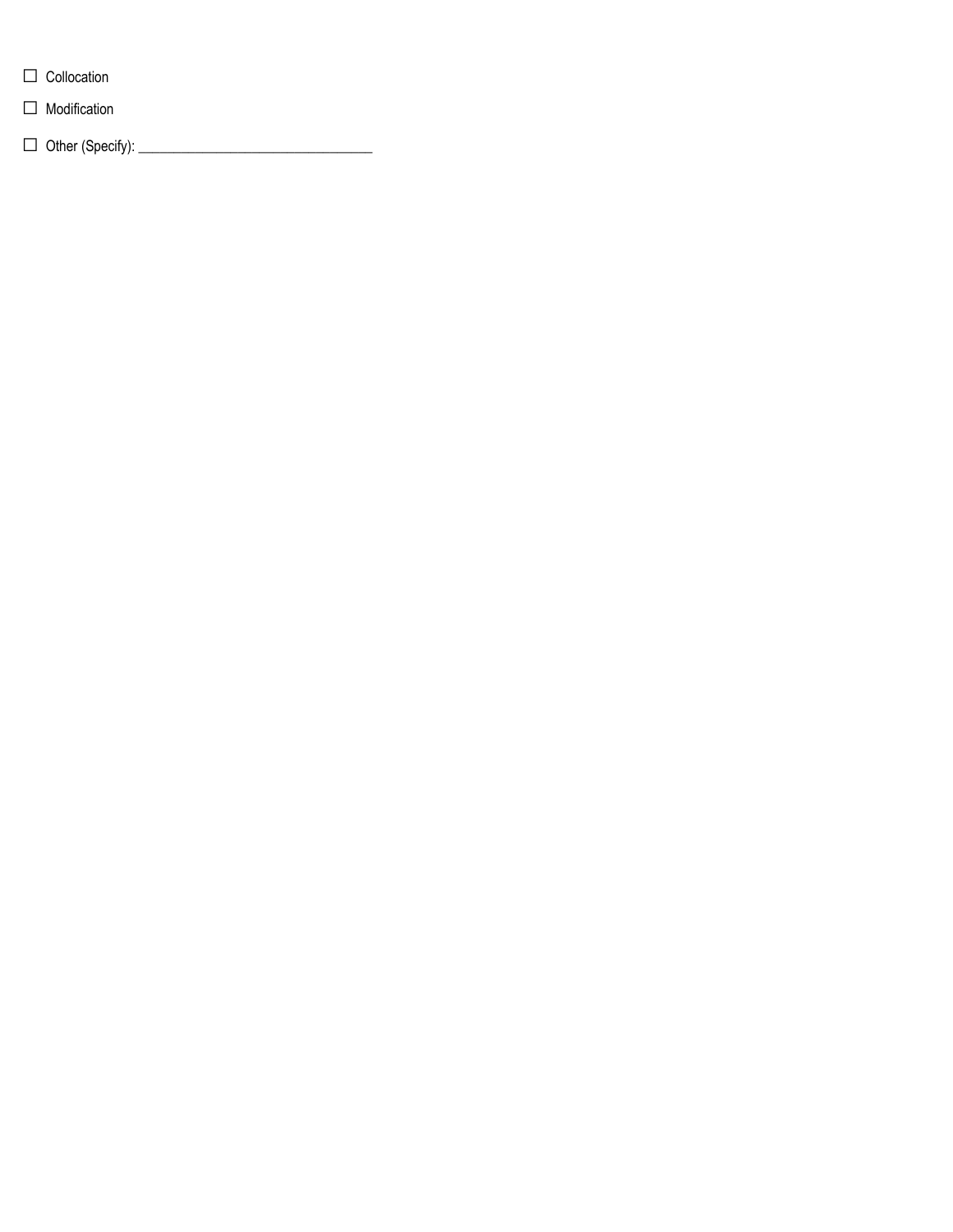- □ Collocation
- □ Modification

□ Other (Specify): \_\_\_\_\_\_\_\_\_\_\_\_\_\_\_\_\_\_\_\_\_\_\_\_\_\_\_\_\_\_\_\_\_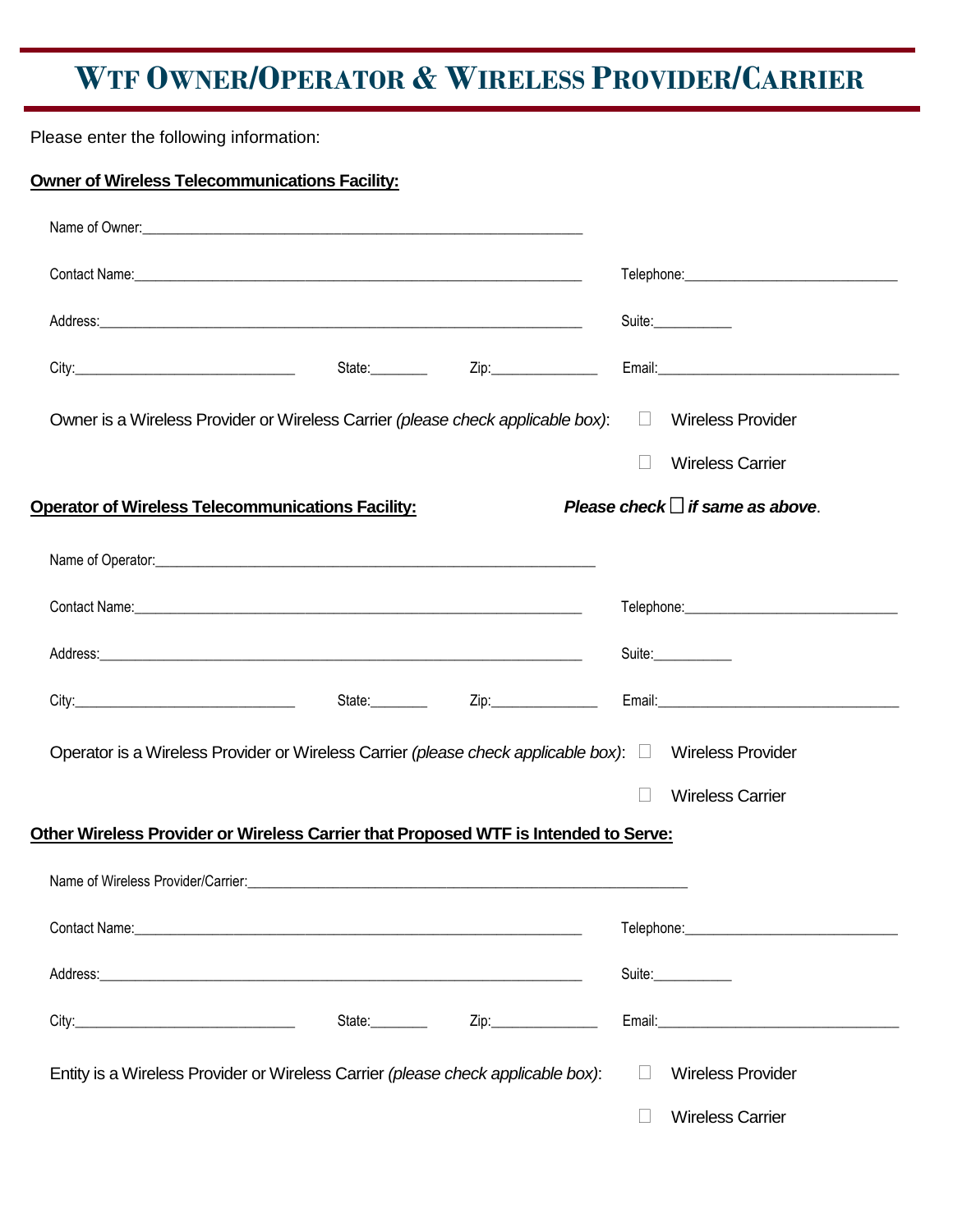# **WTF OWNER/OPERATOR & WIRELESS PROVIDER/CARRIER**

Please enter the following information:

| <b>Owner of Wireless Telecommunications Facility:</b> |                                                                                     |                         |                                                                                                             |
|-------------------------------------------------------|-------------------------------------------------------------------------------------|-------------------------|-------------------------------------------------------------------------------------------------------------|
|                                                       |                                                                                     |                         |                                                                                                             |
|                                                       |                                                                                     |                         |                                                                                                             |
|                                                       |                                                                                     |                         | Suite:____________                                                                                          |
|                                                       |                                                                                     |                         |                                                                                                             |
|                                                       | Owner is a Wireless Provider or Wireless Carrier (please check applicable box):     |                         | □ Wireless Provider                                                                                         |
|                                                       |                                                                                     |                         | <b>Wireless Carrier</b>                                                                                     |
|                                                       | <b>Operator of Wireless Telecommunications Facility:</b>                            |                         | Please check $\Box$ if same as above.                                                                       |
|                                                       |                                                                                     |                         |                                                                                                             |
|                                                       |                                                                                     |                         |                                                                                                             |
|                                                       |                                                                                     |                         | Suite:___________                                                                                           |
|                                                       |                                                                                     |                         |                                                                                                             |
|                                                       |                                                                                     |                         | Operator is a Wireless Provider or Wireless Carrier (please check applicable box): $\Box$ Wireless Provider |
|                                                       |                                                                                     |                         | <b>Wireless Carrier</b>                                                                                     |
|                                                       | Other Wireless Provider or Wireless Carrier that Proposed WTF is Intended to Serve: |                         |                                                                                                             |
|                                                       |                                                                                     |                         |                                                                                                             |
|                                                       |                                                                                     |                         |                                                                                                             |
|                                                       |                                                                                     |                         | Suite:____________                                                                                          |
|                                                       |                                                                                     | State: <u>Zip:</u> Zip: |                                                                                                             |
|                                                       | Entity is a Wireless Provider or Wireless Carrier (please check applicable box):    |                         | <b>Wireless Provider</b><br>П                                                                               |
|                                                       |                                                                                     |                         | <b>Wireless Carrier</b>                                                                                     |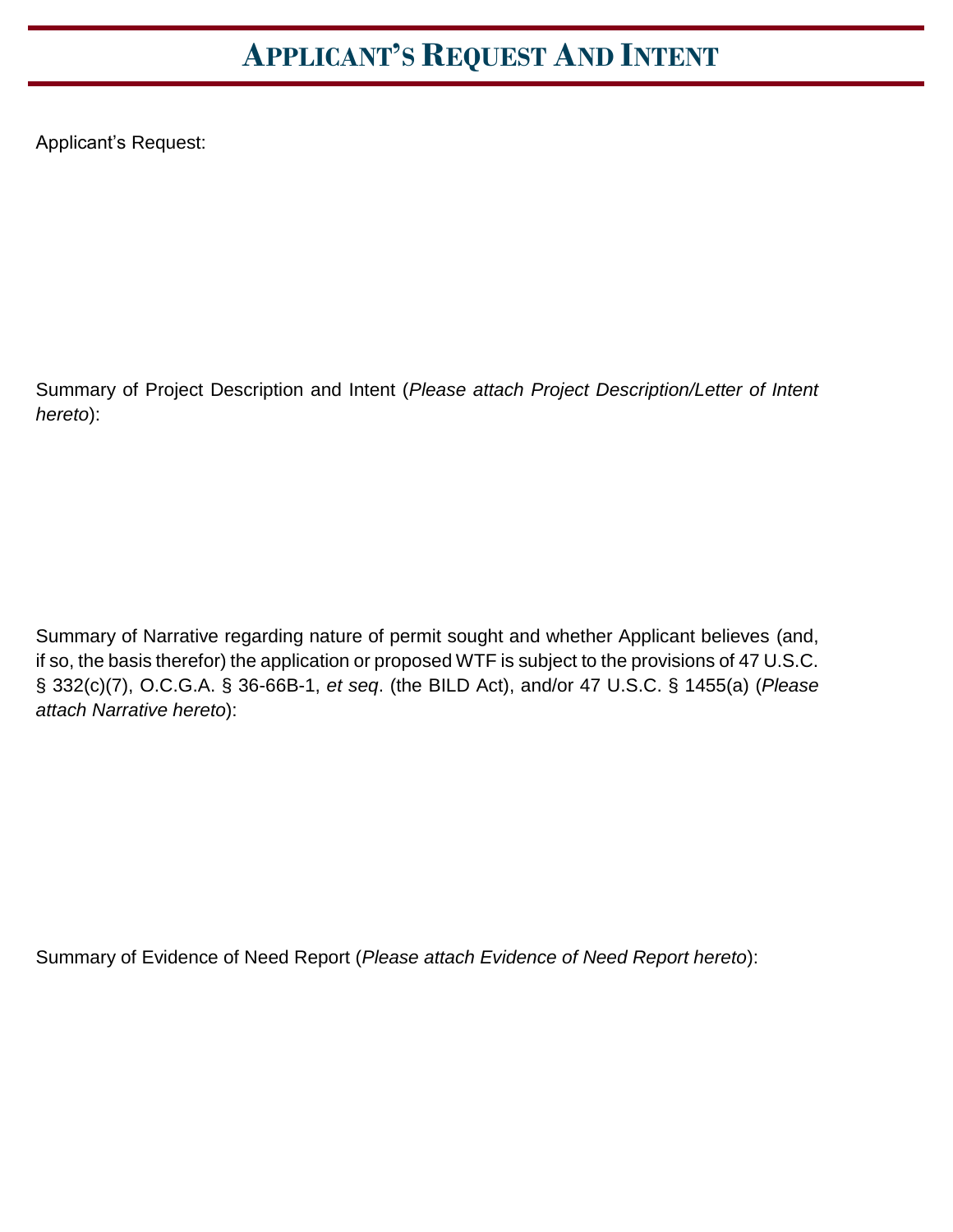# **APPLICANT'S REQUEST AND INTENT**

Applicant's Request:

Summary of Project Description and Intent (*Please attach Project Description/Letter of Intent hereto*):

Summary of Narrative regarding nature of permit sought and whether Applicant believes (and, if so, the basis therefor) the application or proposed WTF is subject to the provisions of 47 U.S.C. § 332(c)(7), O.C.G.A. § 36-66B-1, *et seq*. (the BILD Act), and/or 47 U.S.C. § 1455(a) (*Please attach Narrative hereto*):

Summary of Evidence of Need Report (*Please attach Evidence of Need Report hereto*):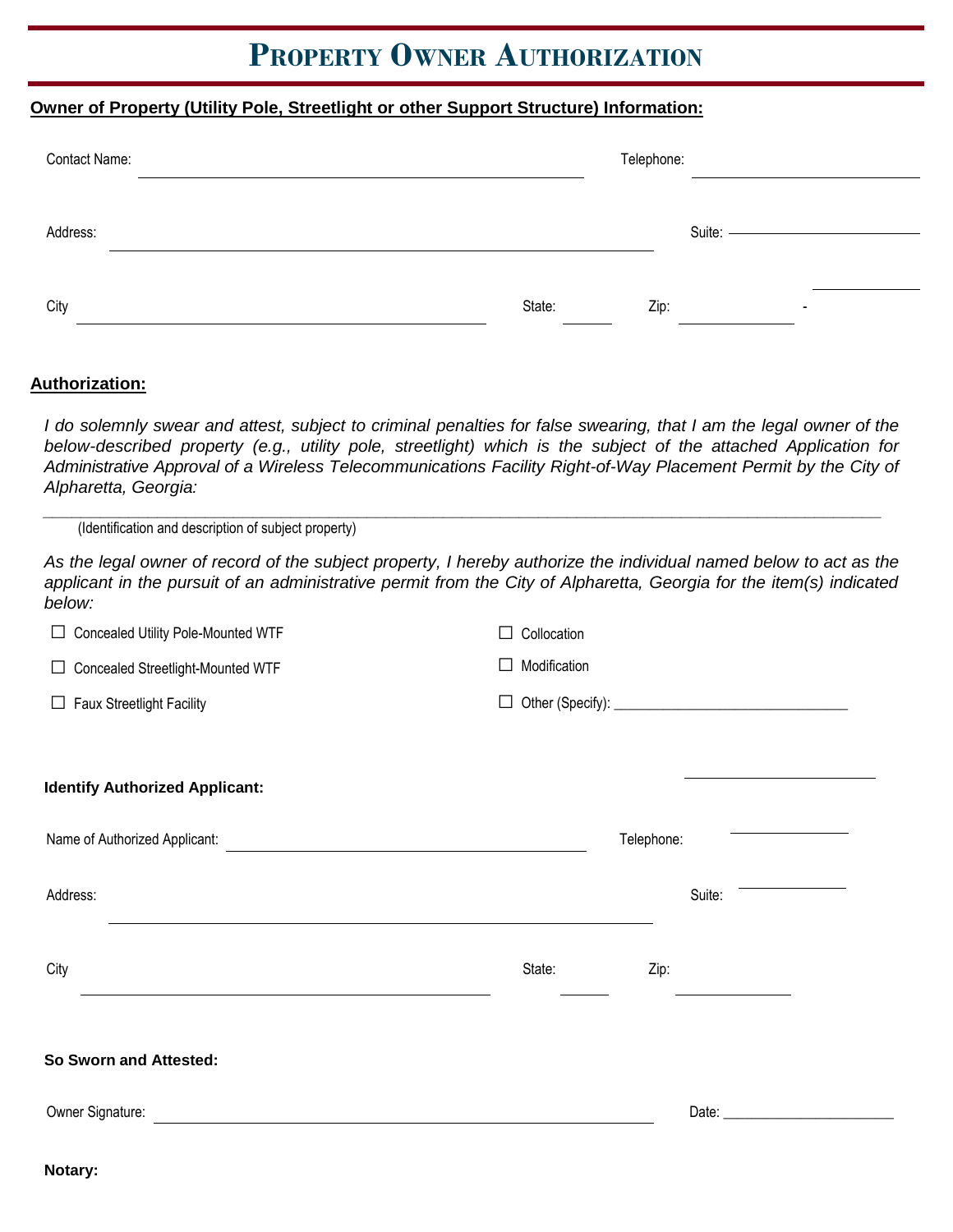## **PROPERTY OWNER AUTHORIZATION**

#### **Owner of Property (Utility Pole, Streetlight or other Support Structure) Information:**

| Contact Name: |        | Telephone: |        |                          |
|---------------|--------|------------|--------|--------------------------|
|               |        |            |        |                          |
| Address:      |        |            | Suite: |                          |
| City          | State: | Zip:       |        | $\overline{\phantom{a}}$ |

#### **Authorization:**

I do solemnly swear and attest, subject to criminal penalties for false swearing, that I am the legal owner of the *below-described property (e.g., utility pole, streetlight) which is the subject of the attached Application for Administrative Approval of a Wireless Telecommunications Facility Right-of-Way Placement Permit by the City of Alpharetta, Georgia:* 

*\_\_\_\_\_\_\_\_\_\_\_\_\_\_\_\_\_\_\_\_\_\_\_\_\_\_\_\_\_\_\_\_\_\_\_\_\_\_\_\_\_\_\_\_\_\_\_\_\_\_\_\_\_\_\_\_\_\_\_\_\_\_\_\_\_\_\_\_\_\_\_\_\_\_\_\_\_\_\_\_\_\_\_\_\_\_\_\_* (Identification and description of subject property)

As the legal owner of record of the subject property, I hereby authorize the individual named below to act as the *applicant in the pursuit of an administrative permit from the City of Alpharetta, Georgia for the item(s) indicated below:*

| □ Concealed Utility Pole-Mounted WTF                                                                                                                                                                       | Collocation  |            |        |  |
|------------------------------------------------------------------------------------------------------------------------------------------------------------------------------------------------------------|--------------|------------|--------|--|
| □ Concealed Streetlight-Mounted WTF                                                                                                                                                                        | Modification |            |        |  |
| $\Box$ Faux Streetlight Facility                                                                                                                                                                           | $\perp$      |            |        |  |
|                                                                                                                                                                                                            |              |            |        |  |
| <b>Identify Authorized Applicant:</b>                                                                                                                                                                      |              |            |        |  |
| Name of Authorized Applicant:<br><u> and</u> <b>COVERTY COVERTY COVERTY COVERTY COVERTY COVERTY COVERTY COVERTY COVERTY COVERTY COVERTY COVERTY COVERTY COVERTY COVERTY COVERTY COVERTY COVERTY COVERT</b> |              | Telephone: |        |  |
| Address:<br>and the control of the control of the control of the control of the control of the control of the control of the                                                                               |              |            | Suite: |  |
| City<br>the control of the control of the control of the control of the control of the control of                                                                                                          | State:       | Zip:       |        |  |
| So Sworn and Attested:                                                                                                                                                                                     |              |            |        |  |
| Owner Signature: <u>Department</u>                                                                                                                                                                         |              |            |        |  |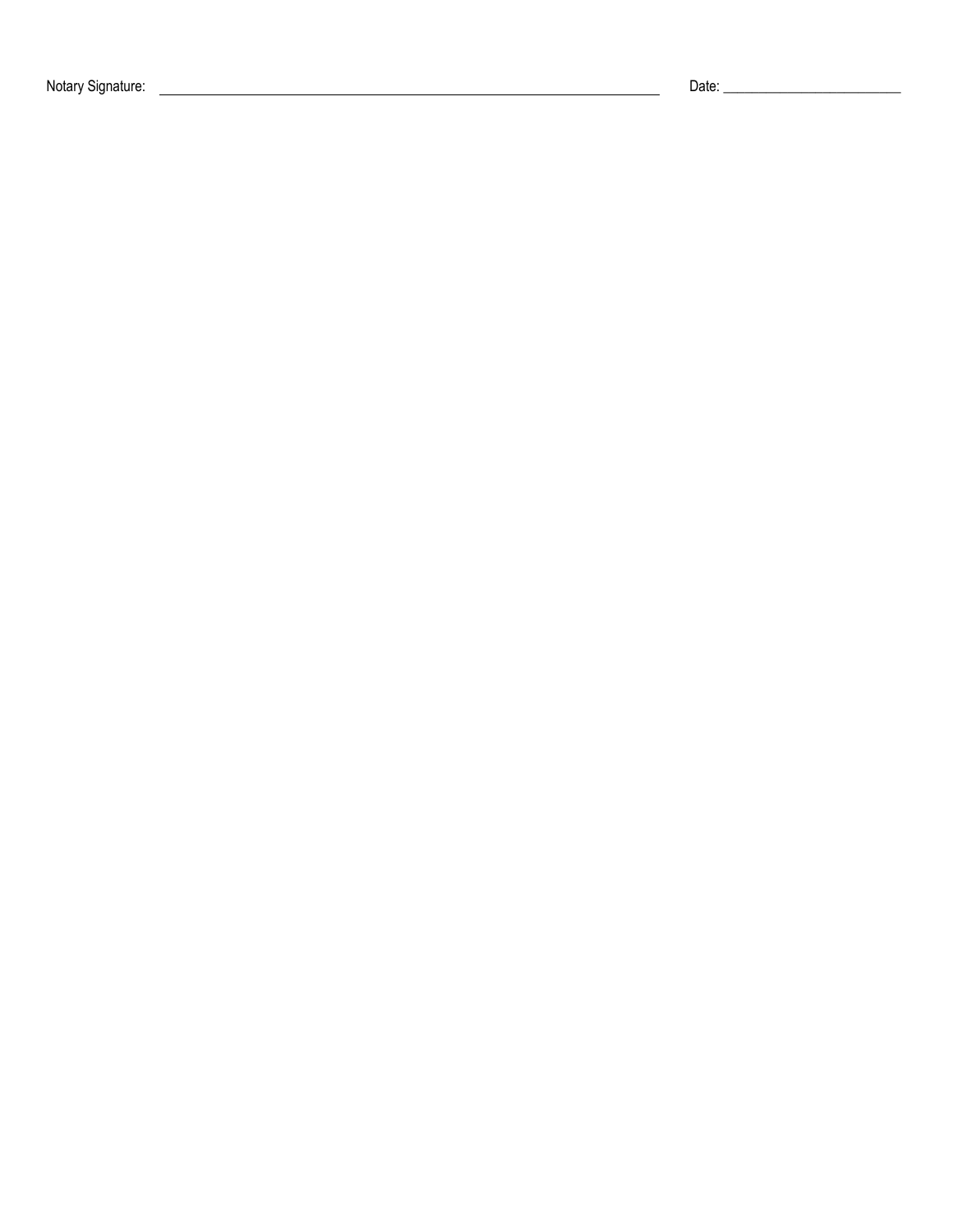Notary Signature: Date: \_\_\_\_\_\_\_\_\_\_\_\_\_\_\_\_\_\_\_\_\_\_\_\_\_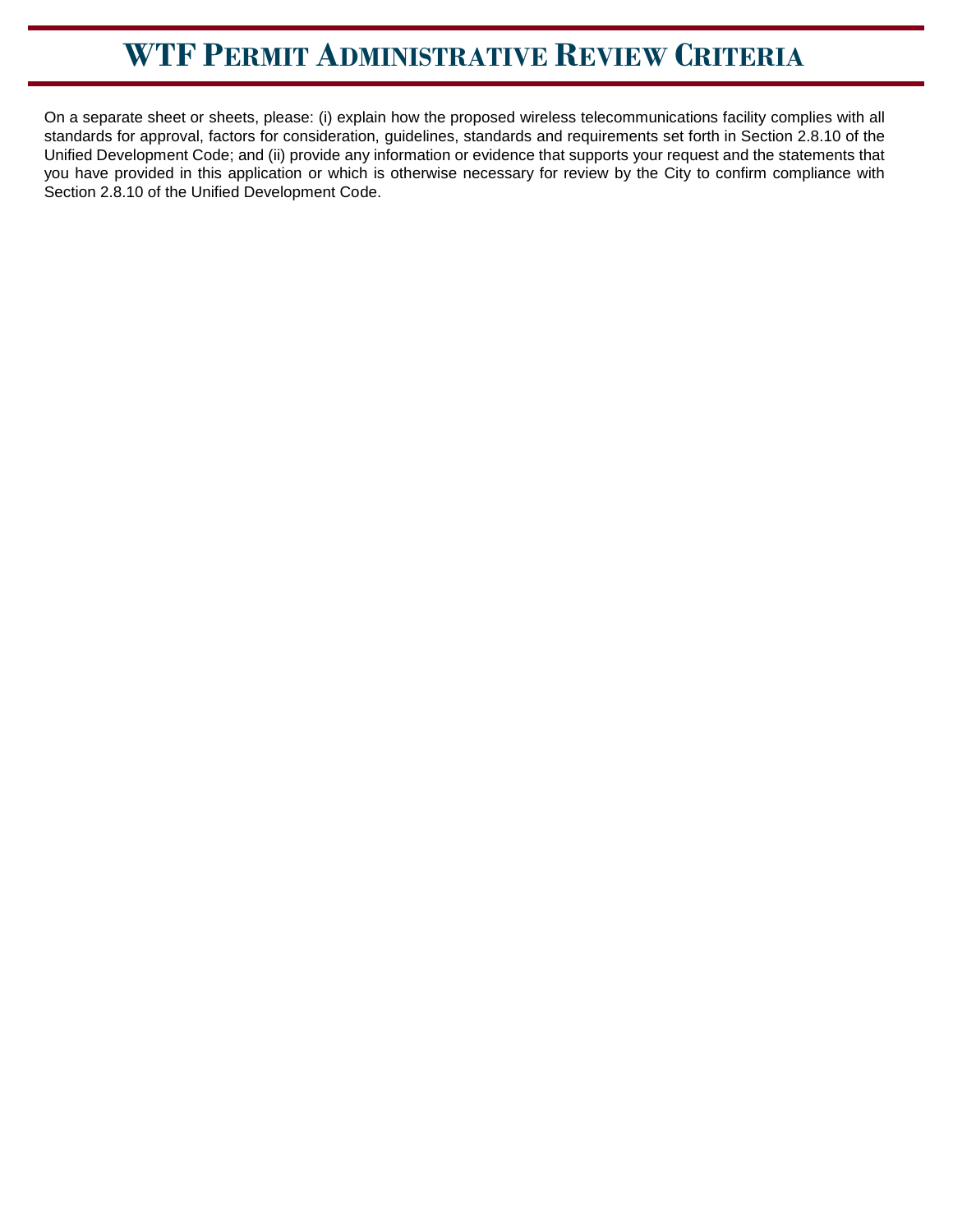# **WTF PERMIT ADMINISTRATIVE REVIEW CRITERIA**

On a separate sheet or sheets, please: (i) explain how the proposed wireless telecommunications facility complies with all standards for approval, factors for consideration, guidelines, standards and requirements set forth in Section 2.8.10 of the Unified Development Code; and (ii) provide any information or evidence that supports your request and the statements that you have provided in this application or which is otherwise necessary for review by the City to confirm compliance with Section 2.8.10 of the Unified Development Code.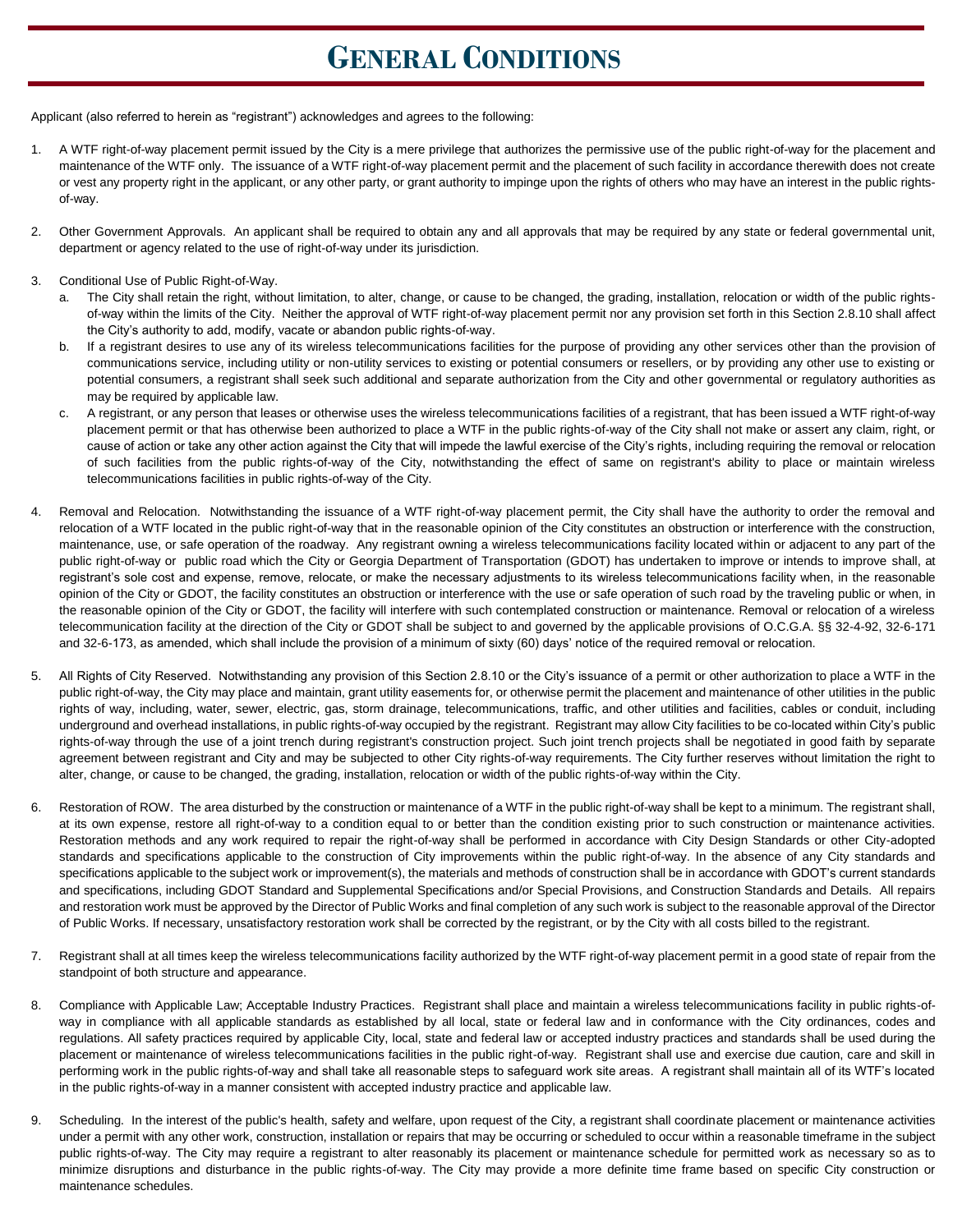### **GENERAL CONDITIONS**

Applicant (also referred to herein as "registrant") acknowledges and agrees to the following:

- 1. A WTF right-of-way placement permit issued by the City is a mere privilege that authorizes the permissive use of the public right-of-way for the placement and maintenance of the WTF only. The issuance of a WTF right-of-way placement permit and the placement of such facility in accordance therewith does not create or vest any property right in the applicant, or any other party, or grant authority to impinge upon the rights of others who may have an interest in the public rightsof-way.
- 2. Other Government Approvals. An applicant shall be required to obtain any and all approvals that may be required by any state or federal governmental unit, department or agency related to the use of right-of-way under its jurisdiction.
- 3. Conditional Use of Public Right-of-Way.
	- a. The City shall retain the right, without limitation, to alter, change, or cause to be changed, the grading, installation, relocation or width of the public rightsof-way within the limits of the City. Neither the approval of WTF right-of-way placement permit nor any provision set forth in this Section 2.8.10 shall affect the City's authority to add, modify, vacate or abandon public rights-of-way.
	- b. If a registrant desires to use any of its wireless telecommunications facilities for the purpose of providing any other services other than the provision of communications service, including utility or non-utility services to existing or potential consumers or resellers, or by providing any other use to existing or potential consumers, a registrant shall seek such additional and separate authorization from the City and other governmental or regulatory authorities as may be required by applicable law.
	- c. A registrant, or any person that leases or otherwise uses the wireless telecommunications facilities of a registrant, that has been issued a WTF right-of-way placement permit or that has otherwise been authorized to place a WTF in the public rights-of-way of the City shall not make or assert any claim, right, or cause of action or take any other action against the City that will impede the lawful exercise of the City's rights, including requiring the removal or relocation of such facilities from the public rights-of-way of the City, notwithstanding the effect of same on registrant's ability to place or maintain wireless telecommunications facilities in public rights-of-way of the City.
- 4. Removal and Relocation. Notwithstanding the issuance of a WTF right-of-way placement permit, the City shall have the authority to order the removal and relocation of a WTF located in the public right-of-way that in the reasonable opinion of the City constitutes an obstruction or interference with the construction, maintenance, use, or safe operation of the roadway. Any registrant owning a wireless telecommunications facility located within or adjacent to any part of the public right-of-way or public road which the City or Georgia Department of Transportation (GDOT) has undertaken to improve or intends to improve shall, at registrant's sole cost and expense, remove, relocate, or make the necessary adjustments to its wireless telecommunications facility when, in the reasonable opinion of the City or GDOT, the facility constitutes an obstruction or interference with the use or safe operation of such road by the traveling public or when, in the reasonable opinion of the City or GDOT, the facility will interfere with such contemplated construction or maintenance. Removal or relocation of a wireless telecommunication facility at the direction of the City or GDOT shall be subject to and governed by the applicable provisions of O.C.G.A. §§ 32-4-92, 32-6-171 and 32-6-173, as amended, which shall include the provision of a minimum of sixty (60) days' notice of the required removal or relocation.
- 5. All Rights of City Reserved. Notwithstanding any provision of this Section 2.8.10 or the City's issuance of a permit or other authorization to place a WTF in the public right-of-way, the City may place and maintain, grant utility easements for, or otherwise permit the placement and maintenance of other utilities in the public rights of way, including, water, sewer, electric, gas, storm drainage, telecommunications, traffic, and other utilities and facilities, cables or conduit, including underground and overhead installations, in public rights-of-way occupied by the registrant. Registrant may allow City facilities to be co-located within City's public rights-of-way through the use of a joint trench during registrant's construction project. Such joint trench projects shall be negotiated in good faith by separate agreement between registrant and City and may be subjected to other City rights-of-way requirements. The City further reserves without limitation the right to alter, change, or cause to be changed, the grading, installation, relocation or width of the public rights-of-way within the City.
- 6. Restoration of ROW. The area disturbed by the construction or maintenance of a WTF in the public right-of-way shall be kept to a minimum. The registrant shall, at its own expense, restore all right-of-way to a condition equal to or better than the condition existing prior to such construction or maintenance activities. Restoration methods and any work required to repair the right-of-way shall be performed in accordance with City Design Standards or other City-adopted standards and specifications applicable to the construction of City improvements within the public right-of-way. In the absence of any City standards and specifications applicable to the subject work or improvement(s), the materials and methods of construction shall be in accordance with GDOT's current standards and specifications, including GDOT Standard and Supplemental Specifications and/or Special Provisions, and Construction Standards and Details. All repairs and restoration work must be approved by the Director of Public Works and final completion of any such work is subject to the reasonable approval of the Director of Public Works. If necessary, unsatisfactory restoration work shall be corrected by the registrant, or by the City with all costs billed to the registrant.
- 7. Registrant shall at all times keep the wireless telecommunications facility authorized by the WTF right-of-way placement permit in a good state of repair from the standpoint of both structure and appearance.
- 8. Compliance with Applicable Law; Acceptable Industry Practices. Registrant shall place and maintain a wireless telecommunications facility in public rights-ofway in compliance with all applicable standards as established by all local, state or federal law and in conformance with the City ordinances, codes and regulations. All safety practices required by applicable City, local, state and federal law or accepted industry practices and standards shall be used during the placement or maintenance of wireless telecommunications facilities in the public right-of-way. Registrant shall use and exercise due caution, care and skill in performing work in the public rights-of-way and shall take all reasonable steps to safeguard work site areas. A registrant shall maintain all of its WTF's located in the public rights-of-way in a manner consistent with accepted industry practice and applicable law.
- 9. Scheduling. In the interest of the public's health, safety and welfare, upon request of the City, a registrant shall coordinate placement or maintenance activities under a permit with any other work, construction, installation or repairs that may be occurring or scheduled to occur within a reasonable timeframe in the subject public rights-of-way. The City may require a registrant to alter reasonably its placement or maintenance schedule for permitted work as necessary so as to minimize disruptions and disturbance in the public rights-of-way. The City may provide a more definite time frame based on specific City construction or maintenance schedules.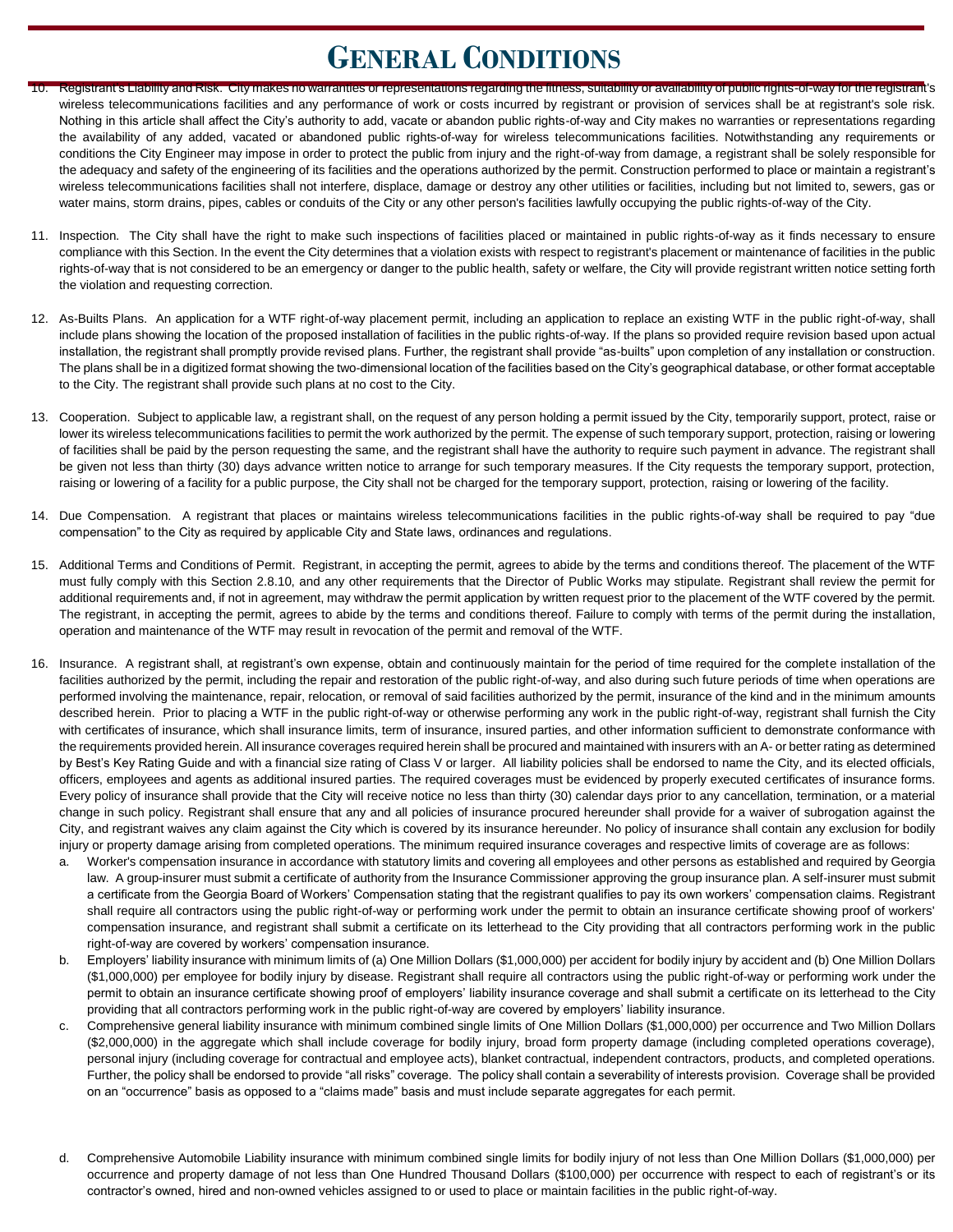### **GENERAL CONDITIONS**

- 10. Registrant's Liability and Risk. City makes no warranties or representations regarding the fitness, suitability or availability of public rights-of-way for the registrant's wireless telecommunications facilities and any performance of work or costs incurred by registrant or provision of services shall be at registrant's sole risk. Nothing in this article shall affect the City's authority to add, vacate or abandon public rights-of-way and City makes no warranties or representations regarding the availability of any added, vacated or abandoned public rights-of-way for wireless telecommunications facilities. Notwithstanding any requirements or conditions the City Engineer may impose in order to protect the public from injury and the right-of-way from damage, a registrant shall be solely responsible for the adequacy and safety of the engineering of its facilities and the operations authorized by the permit. Construction performed to place or maintain a registrant's wireless telecommunications facilities shall not interfere, displace, damage or destroy any other utilities or facilities, including but not limited to, sewers, gas or water mains, storm drains, pipes, cables or conduits of the City or any other person's facilities lawfully occupying the public rights-of-way of the City.
- 11. Inspection. The City shall have the right to make such inspections of facilities placed or maintained in public rights-of-way as it finds necessary to ensure compliance with this Section. In the event the City determines that a violation exists with respect to registrant's placement or maintenance of facilities in the public rights-of-way that is not considered to be an emergency or danger to the public health, safety or welfare, the City will provide registrant written notice setting forth the violation and requesting correction.
- 12. As-Builts Plans. An application for a WTF right-of-way placement permit, including an application to replace an existing WTF in the public right-of-way, shall include plans showing the location of the proposed installation of facilities in the public rights-of-way. If the plans so provided require revision based upon actual installation, the registrant shall promptly provide revised plans. Further, the registrant shall provide "as-builts" upon completion of any installation or construction. The plans shall be in a digitized format showing the two-dimensional location of the facilities based on the City's geographical database, or other format acceptable to the City. The registrant shall provide such plans at no cost to the City.
- 13. Cooperation. Subject to applicable law, a registrant shall, on the request of any person holding a permit issued by the City, temporarily support, protect, raise or lower its wireless telecommunications facilities to permit the work authorized by the permit. The expense of such temporary support, protection, raising or lowering of facilities shall be paid by the person requesting the same, and the registrant shall have the authority to require such payment in advance. The registrant shall be given not less than thirty (30) days advance written notice to arrange for such temporary measures. If the City requests the temporary support, protection, raising or lowering of a facility for a public purpose, the City shall not be charged for the temporary support, protection, raising or lowering of the facility.
- 14. Due Compensation. A registrant that places or maintains wireless telecommunications facilities in the public rights-of-way shall be required to pay "due compensation" to the City as required by applicable City and State laws, ordinances and regulations.
- 15. Additional Terms and Conditions of Permit. Registrant, in accepting the permit, agrees to abide by the terms and conditions thereof. The placement of the WTF must fully comply with this Section 2.8.10, and any other requirements that the Director of Public Works may stipulate. Registrant shall review the permit for additional requirements and, if not in agreement, may withdraw the permit application by written request prior to the placement of the WTF covered by the permit. The registrant, in accepting the permit, agrees to abide by the terms and conditions thereof. Failure to comply with terms of the permit during the installation, operation and maintenance of the WTF may result in revocation of the permit and removal of the WTF.
- 16. Insurance. A registrant shall, at registrant's own expense, obtain and continuously maintain for the period of time required for the complete installation of the facilities authorized by the permit, including the repair and restoration of the public right-of-way, and also during such future periods of time when operations are performed involving the maintenance, repair, relocation, or removal of said facilities authorized by the permit, insurance of the kind and in the minimum amounts described herein. Prior to placing a WTF in the public right-of-way or otherwise performing any work in the public right-of-way, registrant shall furnish the City with certificates of insurance, which shall insurance limits, term of insurance, insured parties, and other information sufficient to demonstrate conformance with the requirements provided herein. All insurance coverages required herein shall be procured and maintained with insurers with an A- or better rating as determined by Best's Key Rating Guide and with a financial size rating of Class V or larger. All liability policies shall be endorsed to name the City, and its elected officials, officers, employees and agents as additional insured parties. The required coverages must be evidenced by properly executed certificates of insurance forms. Every policy of insurance shall provide that the City will receive notice no less than thirty (30) calendar days prior to any cancellation, termination, or a material change in such policy. Registrant shall ensure that any and all policies of insurance procured hereunder shall provide for a waiver of subrogation against the City, and registrant waives any claim against the City which is covered by its insurance hereunder. No policy of insurance shall contain any exclusion for bodily injury or property damage arising from completed operations. The minimum required insurance coverages and respective limits of coverage are as follows:
	- a. Worker's compensation insurance in accordance with statutory limits and covering all employees and other persons as established and required by Georgia law. A group-insurer must submit a certificate of authority from the Insurance Commissioner approving the group insurance plan. A self-insurer must submit a certificate from the Georgia Board of Workers' Compensation stating that the registrant qualifies to pay its own workers' compensation claims. Registrant shall require all contractors using the public right-of-way or performing work under the permit to obtain an insurance certificate showing proof of workers' compensation insurance, and registrant shall submit a certificate on its letterhead to the City providing that all contractors performing work in the public right-of-way are covered by workers' compensation insurance.
	- b. Employers' liability insurance with minimum limits of (a) One Million Dollars (\$1,000,000) per accident for bodily injury by accident and (b) One Million Dollars (\$1,000,000) per employee for bodily injury by disease. Registrant shall require all contractors using the public right-of-way or performing work under the permit to obtain an insurance certificate showing proof of employers' liability insurance coverage and shall submit a certificate on its letterhead to the City providing that all contractors performing work in the public right-of-way are covered by employers' liability insurance.
	- c. Comprehensive general liability insurance with minimum combined single limits of One Million Dollars (\$1,000,000) per occurrence and Two Million Dollars (\$2,000,000) in the aggregate which shall include coverage for bodily injury, broad form property damage (including completed operations coverage), personal injury (including coverage for contractual and employee acts), blanket contractual, independent contractors, products, and completed operations. Further, the policy shall be endorsed to provide "all risks" coverage. The policy shall contain a severability of interests provision. Coverage shall be provided on an "occurrence" basis as opposed to a "claims made" basis and must include separate aggregates for each permit.
	- d. Comprehensive Automobile Liability insurance with minimum combined single limits for bodily injury of not less than One Million Dollars (\$1,000,000) per occurrence and property damage of not less than One Hundred Thousand Dollars (\$100,000) per occurrence with respect to each of registrant's or its contractor's owned, hired and non-owned vehicles assigned to or used to place or maintain facilities in the public right-of-way.